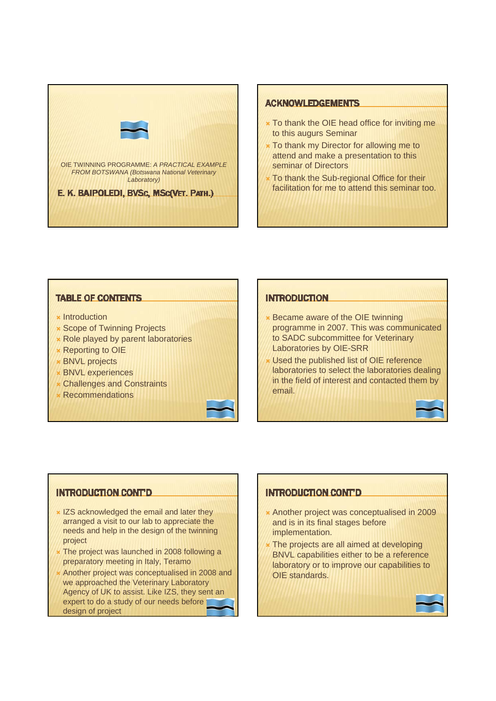

## **ACKNOWLEDGEMENTS**

- $\star$  To thank the OIE head office for inviting me to this augurs Seminar
- **\*** To thank my Director for allowing me to attend and make a presentation to this seminar of Directors
- To thank the Sub-regional Office for their facilitation for me to attend this seminar too.

## **TABLE OF CONTENTS**

- $\star$  Introduction
- **\* Scope of Twinning Projects**
- **\* Role played by parent laboratories**
- **\*** Reporting to OIE
- **\* BNVL projects**
- **\* BNVL experiences**
- **Challenges and Constraints**
- **Recommendations**

## **INTRODUCTION**

- **\* Became aware of the OIE twinning** programme in 2007. This was communicated to SADC subcommittee for Veterinary Laboratories by OIE-SRR
- Used the published list of OIE reference laboratories to select the laboratories dealing in the field of interest and contacted them by email.

# **INTRODUCTION CONT'D**

- $\times$  IZS acknowledged the email and later they arranged a visit to our lab to appreciate the needs and help in the design of the twinning project
- The project was launched in 2008 following a preparatory meeting in Italy, Teramo
- Another project was conceptualised in 2008 and we approached the Veterinary Laboratory Agency of UK to assist. Like IZS, they sent an expert to do a study of our needs before design of project

# **INTRODUCTION CONT'D**

- \* Another project was conceptualised in 2009 and is in its final stages before implementation.
- The projects are all aimed at developing BNVL capabilities either to be a reference laboratory or to improve our capabilities to OIE standards.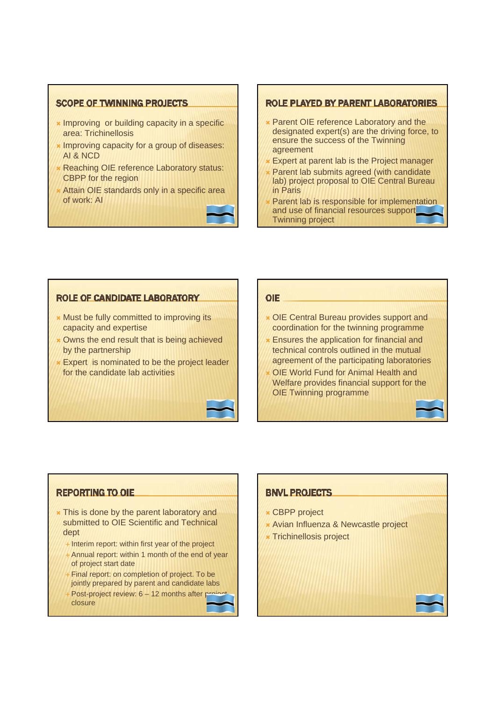## **SCOPE OF TWINNING PROJECTS**

- **\*** Improving or building capacity in a specific area: Trichinellosis
- **\* Improving capacity for a group of diseases:** AI & NCD
- Reaching OIE reference Laboratory status: CBPP for the region
- Attain OIE standards only in a specific area of work: AI



## **ROLE PLAYED BY PARENT LABORATORIES**

- **\* Parent OIE reference Laboratory and the** designated expert(s) are the driving force, to ensure the success of the Twinning agreement
- Expert at parent lab is the Project manager
- Parent lab submits agreed (with candidate lab) project proposal to OIE Central Bureau in Paris
- Parent lab is responsible for implementation and use of financial resources support Twinning project

# **ROLE OF CANDIDATE LABORATORY**

- $*$  Must be fully committed to improving its capacity and expertise
- **\*** Owns the end result that is being achieved by the partnership

**\*** Expert is nominated to be the project leader for the candidate lab activities

## **OIE**

- ´ OIE Central Bureau provides support and coordination for the twinning programme
- **\* Ensures the application for financial and** technical controls outlined in the mutual agreement of the participating laboratories
- **OIE World Fund for Animal Health and** Welfare provides financial support for the OIE Twinning programme

# **REPORTING TO OIE**

- **\*** This is done by the parent laboratory and submitted to OIE Scientific and Technical dept
	- Interim report: within first year of the project
	- Annual report: within 1 month of the end of year of project start date
	- Final report: on completion of project. To be jointly prepared by parent and candidate labs
	- Post-project review:  $6 12$  months after project closure

# **BNVL PROJECTS**

- **x** CBPP project
- **\*** Avian Influenza & Newcastle project
- **\* Trichinellosis project**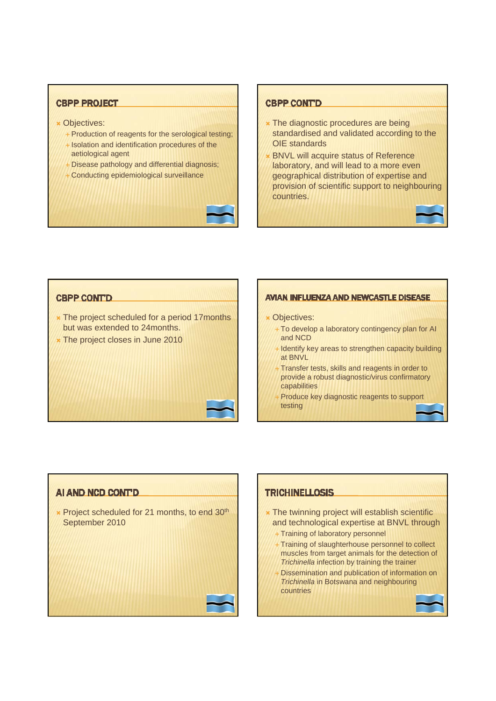# **CBPP PROJECT**

- **× Objectives:** 
	- Production of reagents for the serological testing;
	- Isolation and identification procedures of the aetiological agent
	- Disease pathology and differential diagnosis;
	- Conducting epidemiological surveillance

#### **CBPP CONTD**

- **\*** The diagnostic procedures are being standardised and validated according to the OIE standards
- **BNVL will acquire status of Reference** laboratory, and will lead to a more even geographical distribution of expertise and provision of scientific support to neighbouring countries.

# **CBPP CONT'D**

- **\*** The project scheduled for a period 17months but was extended to 24months.
- **\* The project closes in June 2010**

### AVIAN INFLUENZA AND NEWCASTLE DISEASE

### **× Objectives:**

- + To develop a laboratory contingency plan for AI and NCD
- Identify key areas to strengthen capacity building at BNVL
- Transfer tests, skills and reagents in order to provide a robust diagnostic/virus confirmatory capabilities
- Produce key diagnostic reagents to support testing

## AI AND NCD CONT'D

**\*** Project scheduled for 21 months, to end 30<sup>th</sup> September 2010

# **TRICHINELLOSIS**

- $\star$  The twinning project will establish scientific and technological expertise at BNVL through
	- Training of laboratory personnel
	- Training of slaughterhouse personnel to collect muscles from target animals for the detection of *Trichinella* infection by training the trainer
	- Dissemination and publication of information on *Trichinella* in Botswana and neighbouring countries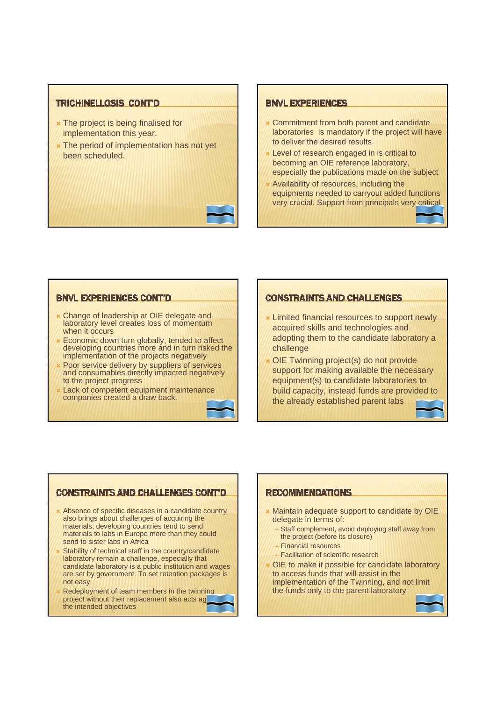### **TRICHINELLOSIS CONTD**

- **\*** The project is being finalised for implementation this year.
- **\*** The period of implementation has not yet been scheduled.

#### **BNVL EXPERIENCES**

- **\* Commitment from both parent and candidate** laboratories is mandatory if the project will have to deliver the desired results
- Level of research engaged in is critical to becoming an OIE reference laboratory, especially the publications made on the subject
- Availability of resources, including the equipments needed to carryout added functions very crucial. Support from principals very critical

## **BNVL EXPERIENCES CONT'D**

- Change of leadership at OIE delegate and laboratory level creates loss of momentum when it occurs
- Economic down turn globally, tended to affect developing countries more and in turn risked the implementation of the projects negatively
- Poor service delivery by suppliers of services and consumables directly impacted negatively to the project progress
- Lack of competent equipment maintenance companies created a draw back.

## **CONSTRAINTS AND CHALL ENGES**

- $\star$  Limited financial resources to support newly acquired skills and technologies and adopting them to the candidate laboratory a challenge
- OIE Twinning project(s) do not provide support for making available the necessary equipment(s) to candidate laboratories to build capacity, instead funds are provided to the already established parent labs

## **CONSTRAINTS AND CHALLENGES CONT'D**

- \* Absence of specific diseases in a candidate country also brings about challenges of acquiring the materials; developing countries tend to send materials to labs in Europe more than they could send to sister labs in Africa
- Stability of technical staff in the country/candidate laboratory remain a challenge, especially that candidate laboratory is a public institution and wages are set by government. To set retention packages is not easy
- Redeployment of team members in the twinning project without their replacement also acts ag the intended objectives

## **RECOMMENDATIONS**

- **\* Maintain adequate support to candidate by OIE** delegate in terms of:
	- Staff complement, avoid deploying staff away from the project (before its closure)
	- **Financial resources**
	- **Facilitation of scientific research**
- OIE to make it possible for candidate laboratory to access funds that will assist in the implementation of the Twinning, and not limit the funds only to the parent laboratory